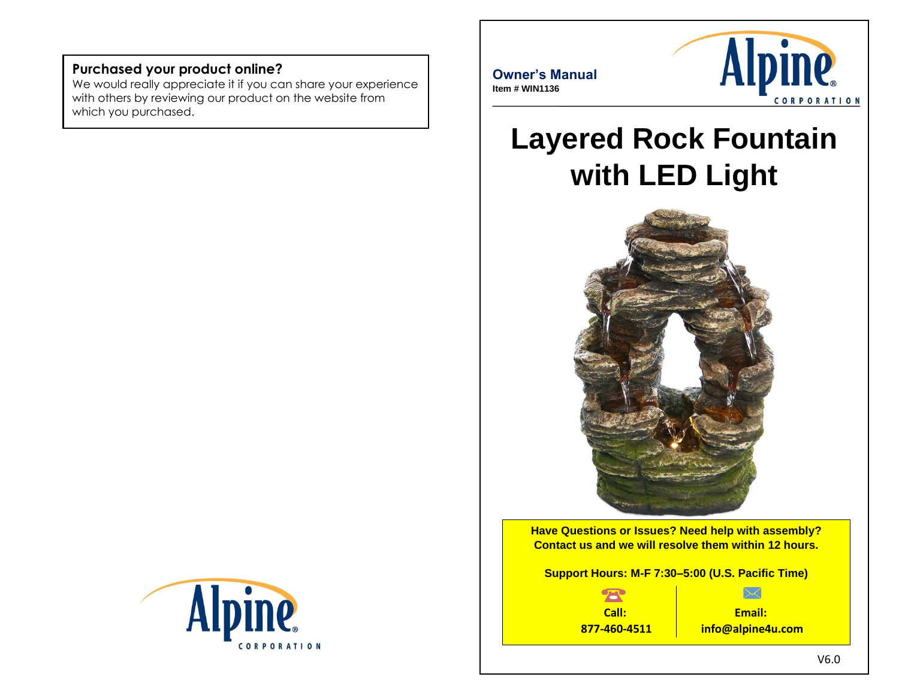#### **Purchased your product online?**

We would really appreciate it if you can share your experience with others by reviewing our product on the website from which you purchased.



**Owner's Manual Item # WIN1136**



# **Layered Rock Fountain with LED Light**



**Have Questions or Issues? Need help with assembly? Contact us and we will resolve them within 12 hours.**

**Support Hours: M-F 7:30–5:00 (U.S. Pacific Time)**

**Call: 877-460-4511**

**Email: info@alpine4u.com**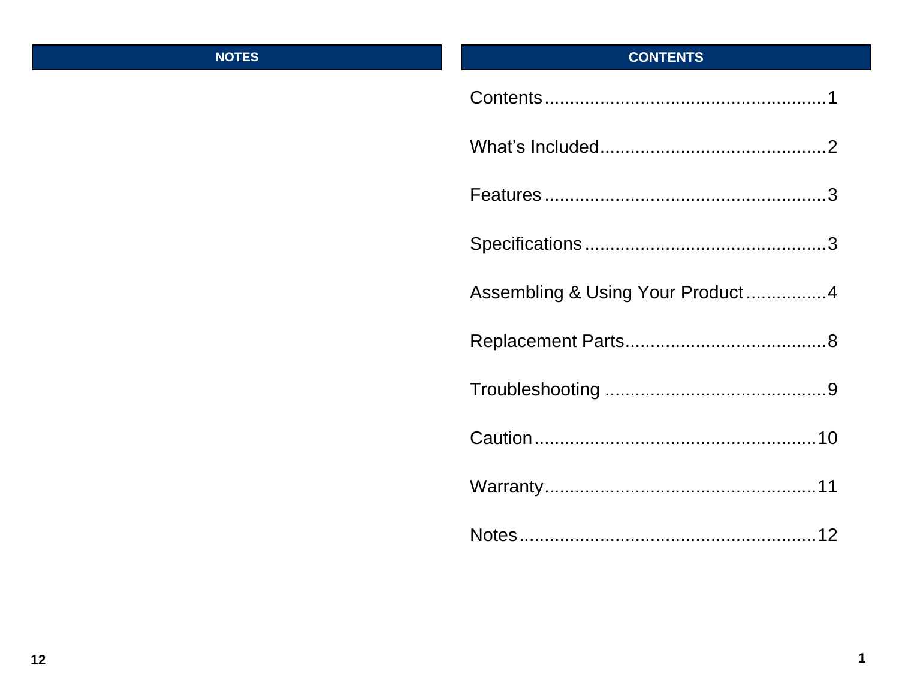#### **NOTES**

## **CONTENTS**

| Assembling & Using Your Product4 |
|----------------------------------|
|                                  |
|                                  |
|                                  |
|                                  |
|                                  |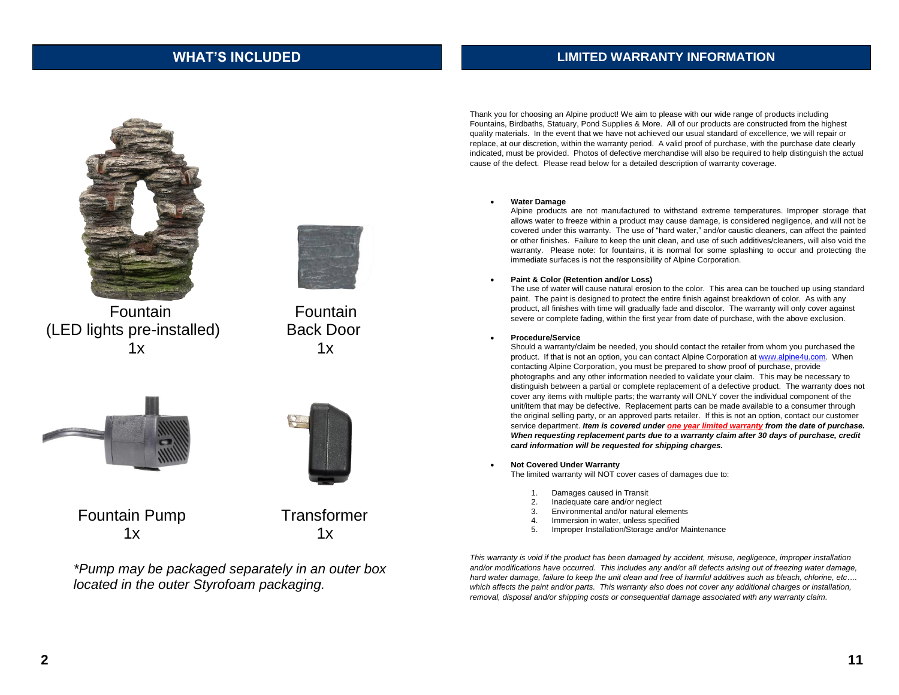#### **WHAT'S INCLUDED**

#### **LIMITED WARRANTY INFORMATION**



(LED lights pre-installed) Back Door



Fountain Fountain  $1x$   $1x$ 





Fountain Pump Transformer  $1x$   $1x$ 

*\*Pump may be packaged separately in an outer box located in the outer Styrofoam packaging.*

Thank you for choosing an Alpine product! We aim to please with our wide range of products including Fountains, Birdbaths, Statuary, Pond Supplies & More. All of our products are constructed from the highest quality materials. In the event that we have not achieved our usual standard of excellence, we will repair or replace, at our discretion, within the warranty period. A valid proof of purchase, with the purchase date clearly indicated, must be provided. Photos of defective merchandise will also be required to help distinguish the actual cause of the defect. Please read below for a detailed description of warranty coverage.

#### • **Water Damage**

Alpine products are not manufactured to withstand extreme temperatures. Improper storage that allows water to freeze within a product may cause damage, is considered negligence, and will not be covered under this warranty. The use of "hard water," and/or caustic cleaners, can affect the painted or other finishes. Failure to keep the unit clean, and use of such additives/cleaners, will also void the warranty. Please note: for fountains, it is normal for some splashing to occur and protecting the immediate surfaces is not the responsibility of Alpine Corporation.

#### • **Paint & Color (Retention and/or Loss)**

The use of water will cause natural erosion to the color. This area can be touched up using standard paint. The paint is designed to protect the entire finish against breakdown of color. As with any product, all finishes with time will gradually fade and discolor. The warranty will only cover against severe or complete fading, within the first year from date of purchase, with the above exclusion.

#### • **Procedure/Service**

Should a warranty/claim be needed, you should contact the retailer from whom you purchased the product. If that is not an option, you can contact Alpine Corporation a[t www.alpine4u.com.](http://www.alpine4u.com/) When contacting Alpine Corporation, you must be prepared to show proof of purchase, provide photographs and any other information needed to validate your claim. This may be necessary to distinguish between a partial or complete replacement of a defective product. The warranty does not cover any items with multiple parts; the warranty will ONLY cover the individual component of the unit/item that may be defective. Replacement parts can be made available to a consumer through the original selling party, or an approved parts retailer. If this is not an option, contact our customer service department. *Item is covered under one year limited warranty from the date of purchase. When requesting replacement parts due to a warranty claim after 30 days of purchase, credit card information will be requested for shipping charges.*

• **Not Covered Under Warranty** 

The limited warranty will NOT cover cases of damages due to:

- 1. Damages caused in Transit
- 2. Inadequate care and/or neglect
- 3. Environmental and/or natural elements
- 4. Immersion in water, unless specified
- 5. Improper Installation/Storage and/or Maintenance

*This warranty is void if the product has been damaged by accident, misuse, negligence, improper installation*  and/or modifications have occurred. This includes any and/or all defects arising out of freezing water damage, *hard water damage, failure to keep the unit clean and free of harmful additives such as bleach, chlorine, etc….*  which affects the paint and/or parts. This warranty also does not cover any additional charges or installation, *removal, disposal and/or shipping costs or consequential damage associated with any warranty claim.*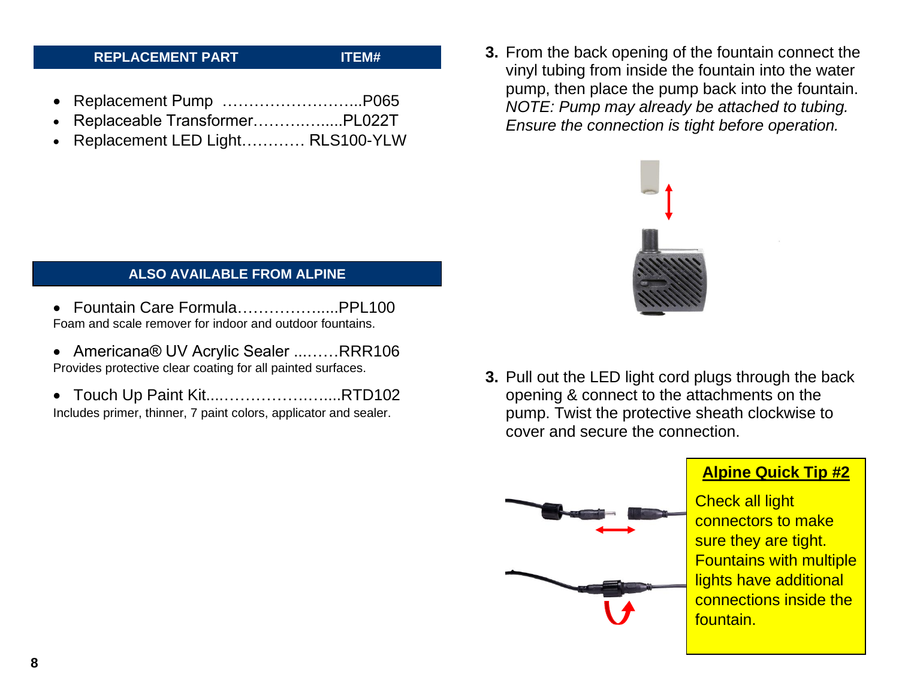#### **REPLACEMENT PART ITEM#**

- Replacement Pump ……………………...P065
- Replaceable Transformer……….….....PL022T
- Replacement LED Light………… RLS100-YLW

#### **ALSO AVAILABLE FROM ALPINE**

- Fountain Care Formula…………….....PPL100 Foam and scale remover for indoor and outdoor fountains.
- Americana® UV Acrylic Sealer ...……RRR106 Provides protective clear coating for all painted surfaces.
- Touch Up Paint Kit....…………….…....RTD102
- Includes primer, thinner, 7 paint colors, applicator and sealer.

**3.** From the back opening of the fountain connect the vinyl tubing from inside the fountain into the water pump, then place the pump back into the fountain. *NOTE: Pump may already be attached to tubing. Ensure the connection is tight before operation.*



**3.** Pull out the LED light cord plugs through the back opening & connect to the attachments on the pump. Twist the protective sheath clockwise to cover and secure the connection.



### **Alpine Quick Tip #2**

Check all light connectors to make sure they are tight. Fountains with multiple lights have additional connections inside the fountain.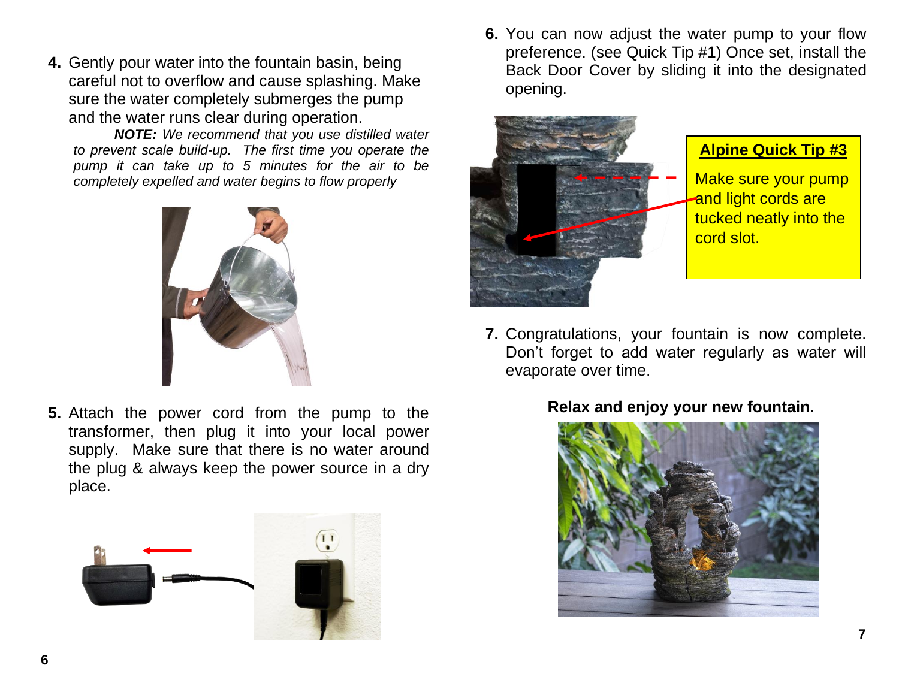**4.** Gently pour water into the fountain basin, being careful not to overflow and cause splashing. Make sure the water completely submerges the pump and the water runs clear during operation.

*NOTE: We recommend that you use distilled water to prevent scale build-up. The first time you operate the pump it can take up to 5 minutes for the air to be completely expelled and water begins to flow properly*



**5.** Attach the power cord from the pump to the transformer, then plug it into your local power supply. Make sure that there is no water around the plug & always keep the power source in a dry place.



**6.** You can now adjust the water pump to your flow preference. (see Quick Tip #1) Once set, install the Back Door Cover by sliding it into the designated opening.



**7.** Congratulations, your fountain is now complete. Don't forget to add water regularly as water will evaporate over time.

### **Relax and enjoy your new fountain.**

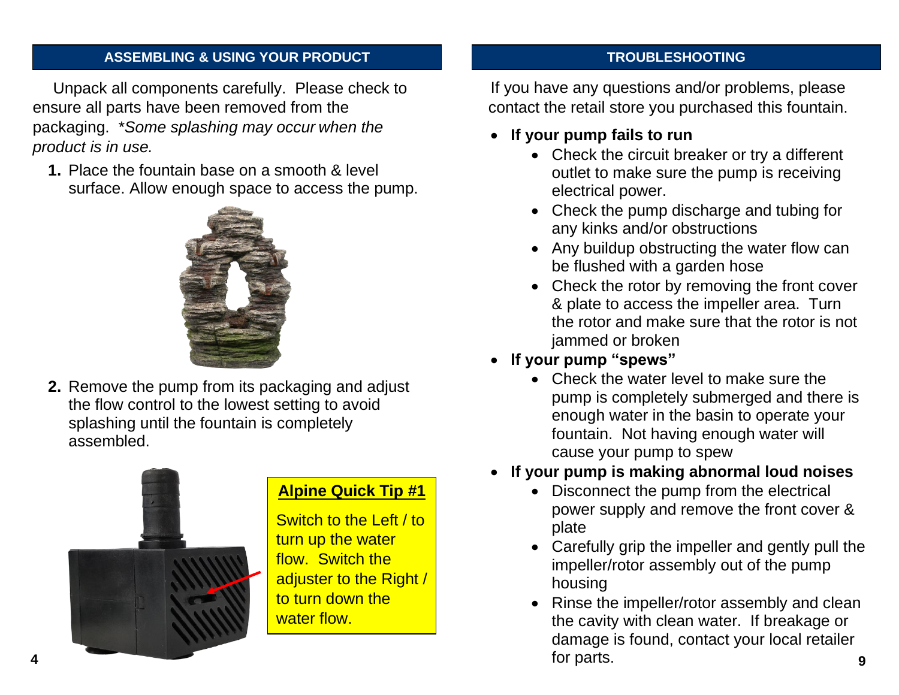#### **ASSEMBLING & USING YOUR PRODUCT**

Unpack all components carefully. Please check to ensure all parts have been removed from the packaging. \**Some splashing may occur when the product is in use.* 

**1.** Place the fountain base on a smooth & level surface. Allow enough space to access the pump.



**2.** Remove the pump from its packaging and adjust the flow control to the lowest setting to avoid splashing until the fountain is completely assembled.



### **Alpine Quick Tip #1**

Switch to the Left / to turn up the water flow. Switch the adjuster to the Right / to turn down the water flow.

#### **TROUBLESHOOTING**

If you have any questions and/or problems, please contact the retail store you purchased this fountain.

- **If your pump fails to run**
	- Check the circuit breaker or try a different outlet to make sure the pump is receiving electrical power.
	- Check the pump discharge and tubing for any kinks and/or obstructions
	- Any buildup obstructing the water flow can be flushed with a garden hose
	- Check the rotor by removing the front cover & plate to access the impeller area. Turn the rotor and make sure that the rotor is not jammed or broken
- **If your pump "spews"** 
	- Check the water level to make sure the pump is completely submerged and there is enough water in the basin to operate your fountain. Not having enough water will cause your pump to spew
- **If your pump is making abnormal loud noises**
	- Disconnect the pump from the electrical power supply and remove the front cover & plate
	- Carefully grip the impeller and gently pull the impeller/rotor assembly out of the pump housing
- Rinse the impeller/rotor assembly and clean the cavity with clean water. If breakage or damage is found, contact your local retailer for parts. **4 9**